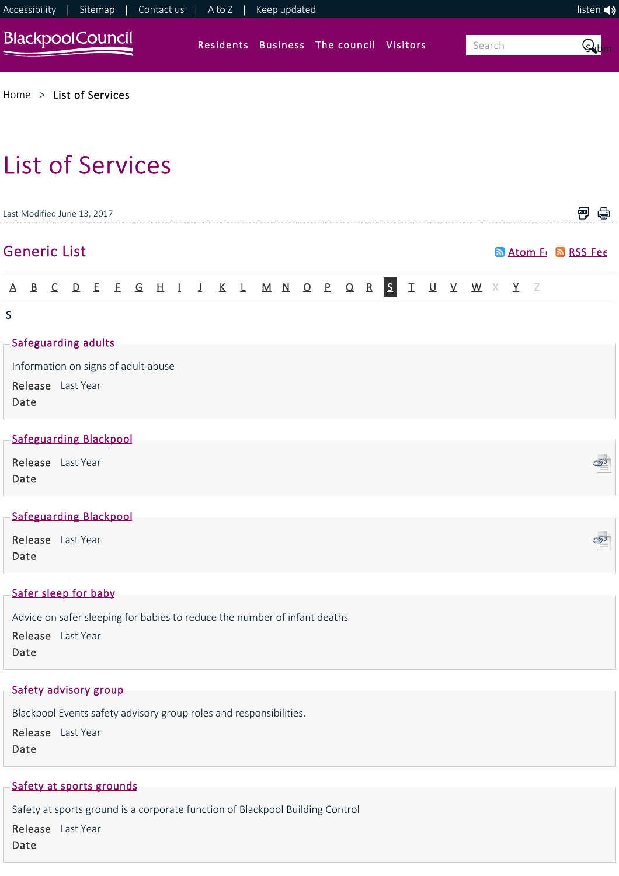

## [Safety at sports grounds](https://www.blackpool.gov.uk/Residents/Planning-environment-and-community/Building-control/Safety-at-sports-grounds.aspx)

Safety at sports ground is a corporate function of Blackpool Building Control

Release Last Year

Date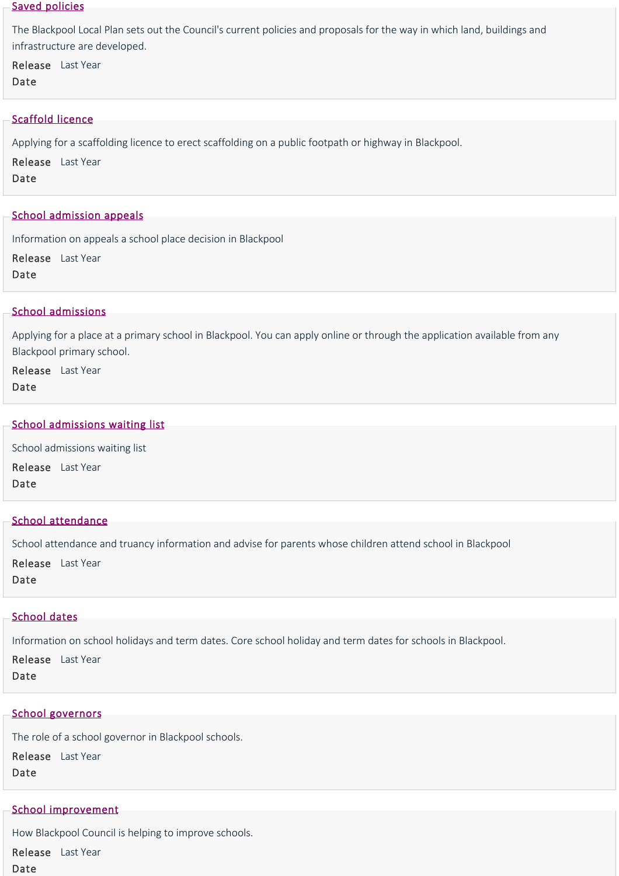## [Saved policies](https://www.blackpool.gov.uk/Residents/Planning-environment-and-community/Planning/Planning-policy/Blackpool-local-plan/Saved-policies.aspx)

The Blackpool Local Plan sets out the Council's current policies and proposals for the way in which land, buildings and infrastructure are developed.

Release Last Year

Date

## [Scaffold licence](https://www.blackpool.gov.uk/Business/Licensing-and-permits/Highways-licences-and-permits/Scaffold-licence.aspx)

Applying for a scaffolding licence to erect scaffolding on a public footpath or highway in Blackpool.

Release Last Year Date

## [School admission appeals](https://www.blackpool.gov.uk/Residents/Education-and-schools/School-admissions/School-admission-appeals.aspx)

Information on appeals a school place decision in Blackpool

Release Last Year Date

## [School admissions](https://www.blackpool.gov.uk/Residents/Education-and-schools/School-admissions/School-admissions.aspx)

Applying for a place at a primary school in Blackpool. You can apply online or through the application available from any Blackpool primary school.

Release Last Year Date

## [School admissions waiting list](https://www.blackpool.gov.uk/Residents/Education-and-schools/School-admissions/School-admissions-waiting-list.aspx)

School admissions waiting list Release Last Year Date

## [School attendance](https://www.blackpool.gov.uk/Residents/Education-and-schools/Information-for-parents-and-carers/School-attendance.aspx)

School attendance and truancy information and advise for parents whose children attend school in Blackpool

Release Last Year Date

## [School dates](https://www.blackpool.gov.uk/Residents/Education-and-schools/Blackpool-schools/School-dates.aspx)

Information on school holidays and term dates. Core school holiday and term dates for schools in Blackpool.

Release Last Year Date

# [School governors](https://www.blackpool.gov.uk/Residents/Education-and-schools/School-governors/School-governors.aspx)

The role of a school governor in Blackpool schools.

Release Last Year Date

# [School improvement](https://www.blackpool.gov.uk/Residents/Education-and-schools/School-improvement/School-improvement.aspx)

How Blackpool Council is helping to improve schools. Release Last YearDate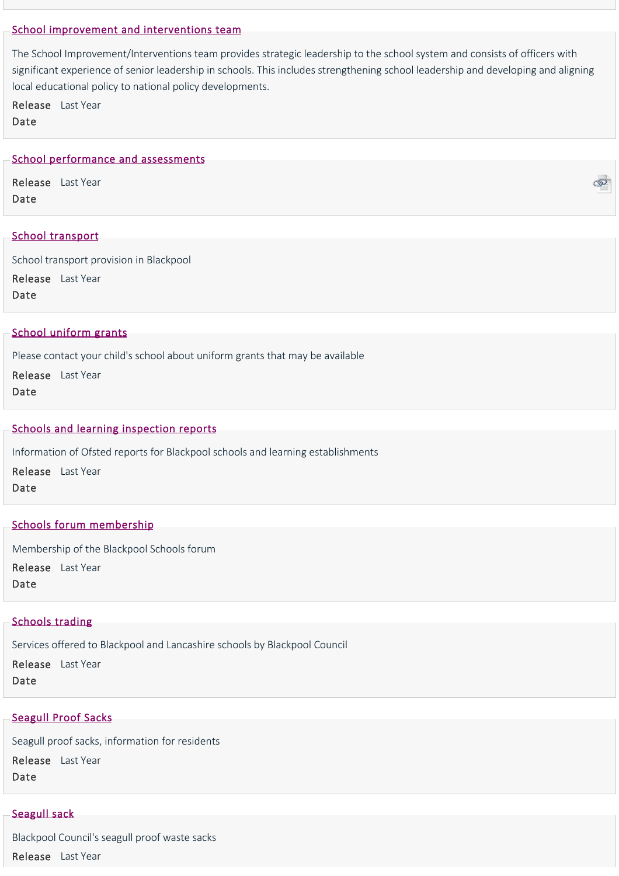## [School improvement and interventions team](https://www.blackpool.gov.uk/Residents/Education-and-schools/School-improvement/School-Improvement-and-Interventions-Team.aspx)

The School Improvement/Interventions team provides strategic leadership to the school system and consists of officers with significant experience of senior leadership in schools. This includes strengthening school leadership and developing and aligning local educational policy to national policy developments.

Release Last Year Date

## [School performance and assessments](https://www.blackpool.gov.uk/Your-Council/Transparency-and-open-data/Audits-inspections-and-assesments/Schools-and-learning-inspection-reports.aspx)

Release Last Year Date

## [School transport](https://www.blackpool.gov.uk/Residents/Education-and-schools/Getting-to-school/School-transport.aspx)

School transport provision in Blackpool Release Last Year Date

## [School uniform grants](https://www.blackpool.gov.uk/Residents/Education-and-schools/Information-for-parents-and-carers/School-uniform-grants.aspx)

Please contact your child's school about uniform grants that may be available

Release Last Year Date

#### [Schools and learning inspection reports](https://www.blackpool.gov.uk/Your-Council/Transparency-and-open-data/Audits-inspections-and-assesments/Schools-and-learning-inspection-reports.aspx)

Information of Ofsted reports for Blackpool schools and learning establishments Release Last Year Date

## [Schools forum membership](https://www.blackpool.gov.uk/Business/Working-with-the-council/Education-and-schools/Schools-forum-membership.aspx)

Membership of the Blackpool Schools forum Release Last Year

Date

#### [Schools trading](https://www.blackpool.gov.uk/Business/Working-with-the-council/Education-and-schools/Schools-trading.aspx)

Services offered to Blackpool and Lancashire schools by Blackpool Council

Release Last Year Date

## [Seagull Proof Sacks](https://www.blackpool.gov.uk/Residents/Waste-and-recycling/Recycling-and-environment/Seagull-Proof-Sacks.aspx)

Seagull proof sacks, information for residents Release Last Year Date

# [Seagull sack](https://www.blackpool.gov.uk/Residents/Waste-and-recycling/Bin-collections/What-goes-in-my-bin/Seagull-sack.aspx)

Blackpool Council's seagull proof waste sacks Release Last Year

ැත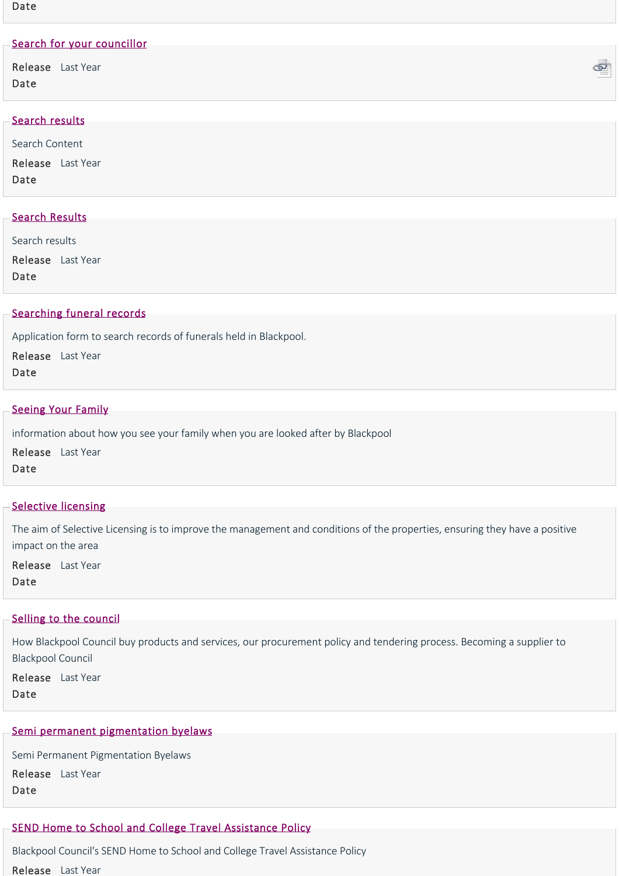## Date

| Search for your councillor |  |  |
|----------------------------|--|--|
| Release Last Year<br>Date  |  |  |
| Search results             |  |  |
| Search Content             |  |  |

Release Last Year Date

# [Search Results](https://www.blackpool.gov.uk/Residents/Health-and-social-care/Children-and-families/JustUz/SearchResults.aspx)

Search results

Release Last Year

Date

# [Searching funeral records](https://www.blackpool.gov.uk/Residents/Life-events/Cemeteries-and-crematorium/Searching-funeral-records.aspx)

Application form to search records of funerals held in Blackpool.

Release Last Year

Date

## **[Seeing Your Family](https://www.blackpool.gov.uk/Residents/Health-and-social-care/Children-and-families/JustUz/Beinglookedafter/Seeing-Your-Family.aspx)**

information about how you see your family when you are looked after by Blackpool

Release Last Year Date

## **[Selective licensing](https://www.blackpool.gov.uk/Business/Licensing-and-permits/Housing-licences/Selective-licensing/Selective-licensing.aspx)**

The aim of Selective Licensing is to improve the management and conditions of the properties, ensuring they have a positive impact on the area

Release Last Year Date

## [Selling to the council](https://www.blackpool.gov.uk/Business/Working-with-the-council/Selling-to-the-Council/Selling-to-the-council.aspx)

How Blackpool Council buy products and services, our procurement policy and tendering process. Becoming a supplier to Blackpool Council

Release Last Year Date

## [Semi permanent pigmentation byelaws](https://www.blackpool.gov.uk/Business/Licensing-and-permits/Personal-treatments/Semi-Permanent-Pigmentation-Byelaws.aspx)

Semi Permanent Pigmentation Byelaws Release Last Year Date

# [SEND Home to School and College Travel Assistance Policy](https://www.blackpool.gov.uk/Residents/Education-and-schools/Getting-to-school/SEND-travel-policy.aspx)

Blackpool Council's SEND Home to School and College Travel Assistance Policy Release Last Year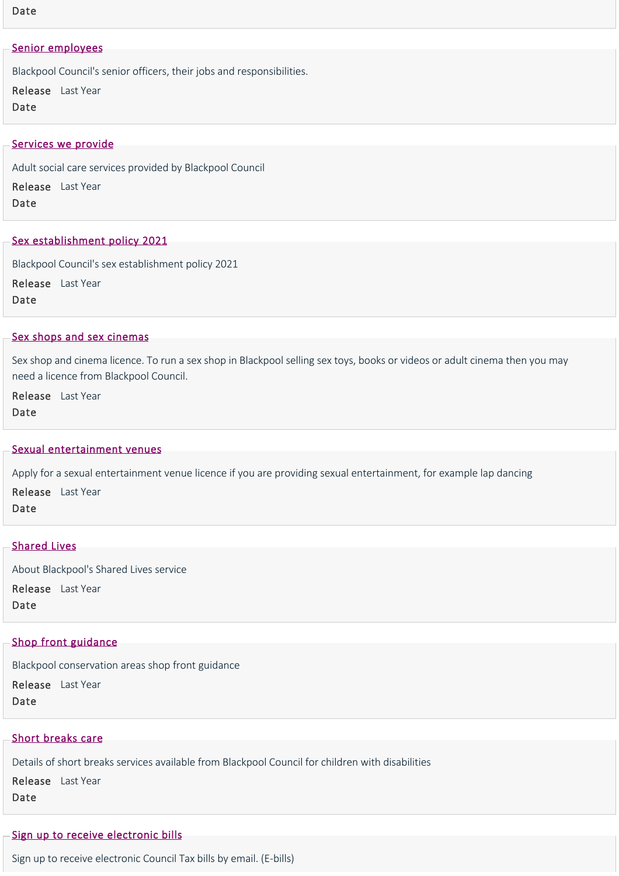#### Date

#### [Senior employees](https://www.blackpool.gov.uk/Your-Council/Transparency-and-open-data/Pay-policy-and-salaries/Senior-employees.aspx)

Blackpool Council's senior officers, their jobs and responsibilities.

Release Last Year Date

#### [Services we provide](https://www.blackpool.gov.uk/Residents/Health-and-social-care/Social-care-for-adults/Services-we-provide/Services-we-provide.aspx)

Adult social care services provided by Blackpool Council Release Last Year

Date

#### [Sex establishment policy 2021](https://www.blackpool.gov.uk/Business/Licensing-and-permits/Licensing-policies/Sex-establishment-policy-2021.aspx)

Blackpool Council's sex establishment policy 2021 Release Last Year Date

#### [Sex shops and sex cinemas](https://www.blackpool.gov.uk/Business/Licensing-and-permits/Alcohol-entertainment-and-food-licences/Sex-establishments/Sex-shops-and-sex-cinemas.aspx)

Sex shop and cinema licence. To run a sex shop in Blackpool selling sex toys, books or videos or adult cinema then you may need a licence from Blackpool Council.

Release Last Year Date

#### [Sexual entertainment venues](https://www.blackpool.gov.uk/Business/Licensing-and-permits/Alcohol-entertainment-and-food-licences/Sex-establishments/Sexual-entertainment-venues.aspx)

Apply for a sexual entertainment venue licence if you are providing sexual entertainment, for example lap dancing Release Last Year Date

## [Shared Lives](https://www.blackpool.gov.uk/Residents/Health-and-social-care/Social-care-for-adults/Services-we-provide/Shared-lives/Shared-lives.aspx)

About Blackpool's Shared Lives service Release Last Year Date

## [Shop front guidance](https://www.blackpool.gov.uk/Residents/Planning-environment-and-community/Planning/Conservation/Shop-front-guidance.aspx)

Blackpool conservation areas shop front guidance

Release Last Year

Date

#### [Short breaks care](https://www.blackpool.gov.uk/Residents/Health-and-social-care/Children-and-families/Children-with-disabilities/Short-breaks-care.aspx)

Details of short breaks services available from Blackpool Council for children with disabilities Release Last Year Date

#### [Sign up to receive electronic bills](https://www.blackpool.gov.uk/Residents/Council-tax/Paperless-billing.aspx)

Sign up to receive electronic Council Tax bills by email. (E‐bills)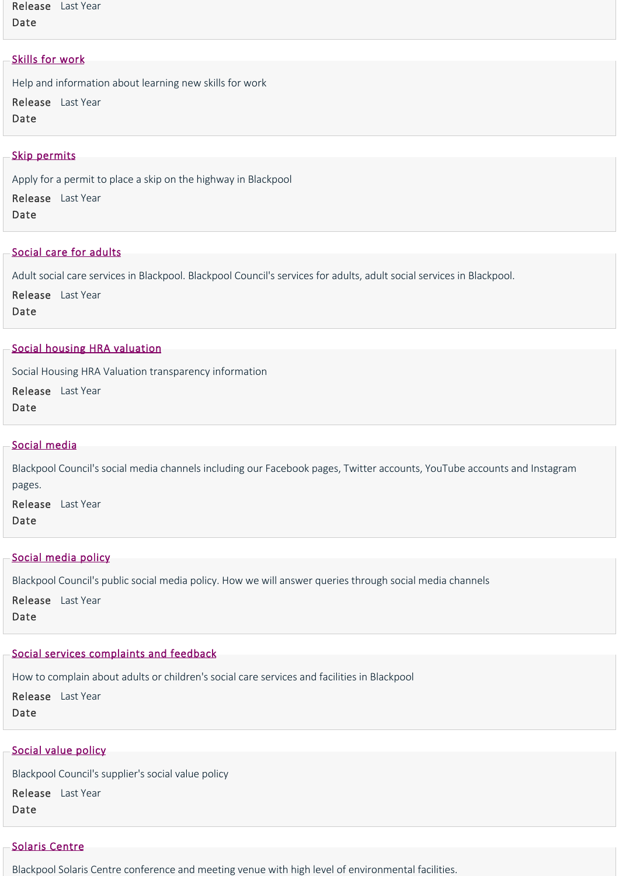Release Last Year Date

### [Skills for work](https://www.blackpool.gov.uk/Residents/Advice-and-support/Job-support/Skills-for-work.aspx)

Help and information about learning new skills for work Release Last Year Date

#### [Skip permits](https://www.blackpool.gov.uk/Business/Licensing-and-permits/Highways-licences-and-permits/Skips-permit.aspx)

Apply for a permit to place a skip on the highway in Blackpool Release Last Year Date

## [Social care for adults](https://www.blackpool.gov.uk/Residents/Health-and-social-care/Social-care-for-adults/Social-care-for-adults.aspx)

Adult social care services in Blackpool. Blackpool Council's services for adults, adult social services in Blackpool.

Release Last Year Date

#### [Social housing HRA valuation](https://www.blackpool.gov.uk/Your-Council/Transparency-and-open-data/Social-housing-HRA-valuation.aspx)

Social Housing HRA Valuation transparency information

Release Last Year Date

#### [Social media](https://www.blackpool.gov.uk/Social-media.aspx)

Blackpool Council's social media channels including our Facebook pages, Twitter accounts, YouTube accounts and Instagram pages.

Release Last Year Date

#### [Social media policy](https://www.blackpool.gov.uk/Social-media-policy.aspx)

Blackpool Council's public social media policy. How we will answer queries through social media channels

Release Last Year Date

#### [Social services complaints and feedback](https://www.blackpool.gov.uk/Residents/Health-and-social-care/Social-services-complaints.aspx)

How to complain about adults or children's social care services and facilities in Blackpool

Release Last Year

Date

#### [Social value policy](https://www.blackpool.gov.uk/Business/Working-with-the-council/Selling-to-the-Council/Social-value-policy.aspx)

Blackpool Council's supplier's social value policy Release Last Year

Date

## [Solaris Centre](https://www.blackpool.gov.uk/Residents/Parks-and-community-facilities/Solaris-centre/Solaris-centre.aspx)

Blackpool Solaris Centre conference and meeting venue with high level of environmental facilities.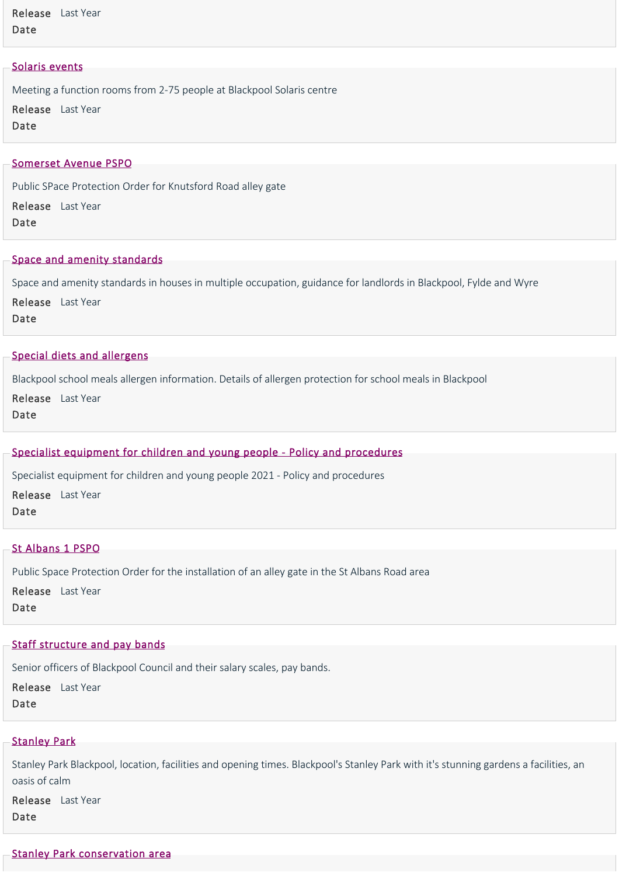Release Last Year Date

### [Solaris events](https://www.blackpool.gov.uk/Residents/Parks-and-community-facilities/Solaris-centre/Solaris-events.aspx)

Meeting a function rooms from 2‐75 people at Blackpool Solaris centre Release Last Year Date

#### [Somerset Avenue PSPO](https://www.blackpool.gov.uk/Residents/Planning-environment-and-community/Crime-and-safety/Public-space-protection-orders/Alley-gates/Somerset-Avenue-PSPO.aspx)

Public SPace Protection Order for Knutsford Road alley gate

Release Last Year

Date

## [Space and amenity standards](https://www.blackpool.gov.uk/Business/Residential-landlords/Houses-in-multiple-occupation/Space-and-amenity-standards.aspx)

Space and amenity standards in houses in multiple occupation, guidance for landlords in Blackpool, Fylde and Wyre

Release Last Year

Date

## [Special diets and allergens](https://www.blackpool.gov.uk/Residents/Education-and-schools/School-meals/Special-diets-and-allergens.aspx)

Blackpool school meals allergen information. Details of allergen protection for school meals in Blackpool

Release Last Year

Date

## [Specialist equipment for children and young people ‐ Policy and procedures](https://www.blackpool.gov.uk/Residents/Health-and-social-care/Children-and-families/Documents/Specialist-equipment-for-children-and-young-people-2021-Policy-and-procedures.aspx)

Specialist equipment for children and young people 2021 ‐ Policy and procedures

Release Last Year Date

#### [St Albans 1 PSPO](https://www.blackpool.gov.uk/Residents/Planning-environment-and-community/Crime-and-safety/Public-space-protection-orders/Alley-gates/St-Albans-1-PSPO.aspx)

Public Space Protection Order for the installation of an alley gate in the St Albans Road area

Release Last Year Date

#### [Staff structure and pay bands](https://www.blackpool.gov.uk/Your-Council/Transparency-and-open-data/Pay-policy-and-salaries/Staff-structure-and-pay-bands.aspx)

Senior officers of Blackpool Council and their salary scales, pay bands.

Release Last Year Date

#### **[Stanley Park](https://www.blackpool.gov.uk/Residents/Parks-and-community-facilities/Parks,-playgrounds-and-community-facilities/Stanley-Park.aspx)**

Stanley Park Blackpool, location, facilities and opening times. Blackpool's Stanley Park with it's stunning gardens a facilities, an oasis of calm

Release Last Year Date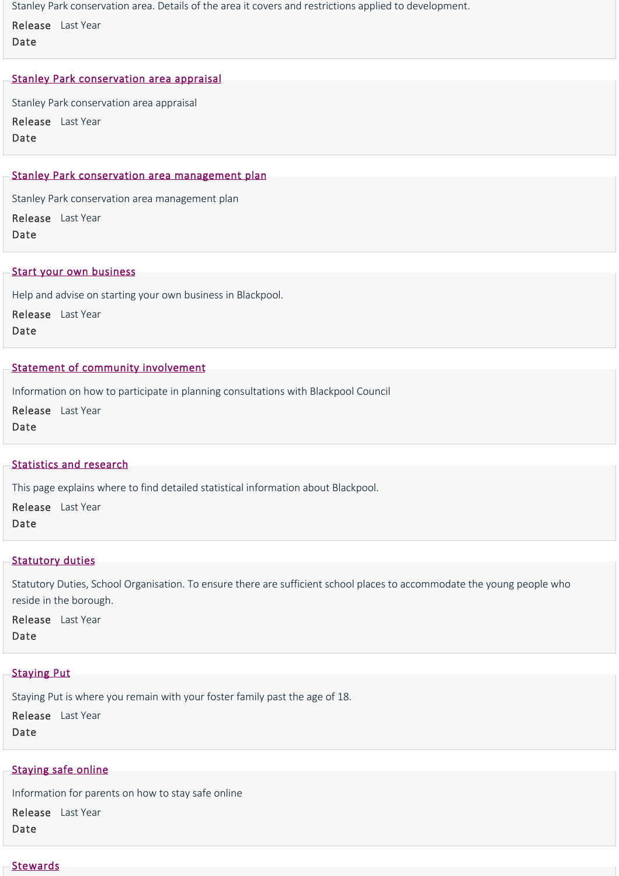Stanley Park conservation area. Details of the area it covers and restrictions applied to development.

Release Last Year Date

## [Stanley Park conservation area appraisal](https://www.blackpool.gov.uk/Residents/Planning-environment-and-community/Planning/Conservation/Stanley-Park-conservation-area/Stanley-Park-conservation-area-appraisal.aspx)

Stanley Park conservation area appraisal Release Last Year Date

## [Stanley Park conservation area management plan](https://www.blackpool.gov.uk/Residents/Planning-environment-and-community/Planning/Conservation/Stanley-Park-conservation-area/Stanley-Park-conservation-area-management-plan.aspx)

Stanley Park conservation area management plan Release Last Year Date

#### [Start your own business](https://www.blackpool.gov.uk/Business/Business-support-and-advice/Start-your-own-business.aspx)

Help and advise on starting your own business in Blackpool.

Release Last Year

Date

#### [Statement of community involvement](https://www.blackpool.gov.uk/Residents/Planning-environment-and-community/Planning/Planning-policy/Statement-of-community-involvement.aspx)

Information on how to participate in planning consultations with Blackpool Council

Release Last Year

Date

## [Statistics and research](https://www.blackpool.gov.uk/Your-Council/Statistics-and-research/Statistics-and-research.aspx)

This page explains where to find detailed statistical information about Blackpool.

Release Last Year

Date

## **[Statutory duties](https://www.blackpool.gov.uk/Business/Working-with-the-council/Education-and-schools/School-organisation-and-place-planning/Statutory-duties.aspx)**

Statutory Duties, School Organisation. To ensure there are sufficient school places to accommodate the young people who reside in the borough.

Release Last Year Date

## [Staying Put](https://www.blackpool.gov.uk/Residents/Health-and-social-care/Children-and-families/JustUz/Leaving-Care/Staying-Put.aspx)

Staying Put is where you remain with your foster family past the age of 18.

Release Last Year Date

## [Staying safe online](https://www.blackpool.gov.uk/Residents/Advice-and-support/Consumer-advice/Staying-safe-online.aspx)

Information for parents on how to stay safe online Release Last Year Date

#### **[Stewards](https://www.blackpool.gov.uk/Business/Working-with-the-council/Organising-an-event/Advice-and-guidance/Stewards.aspx)**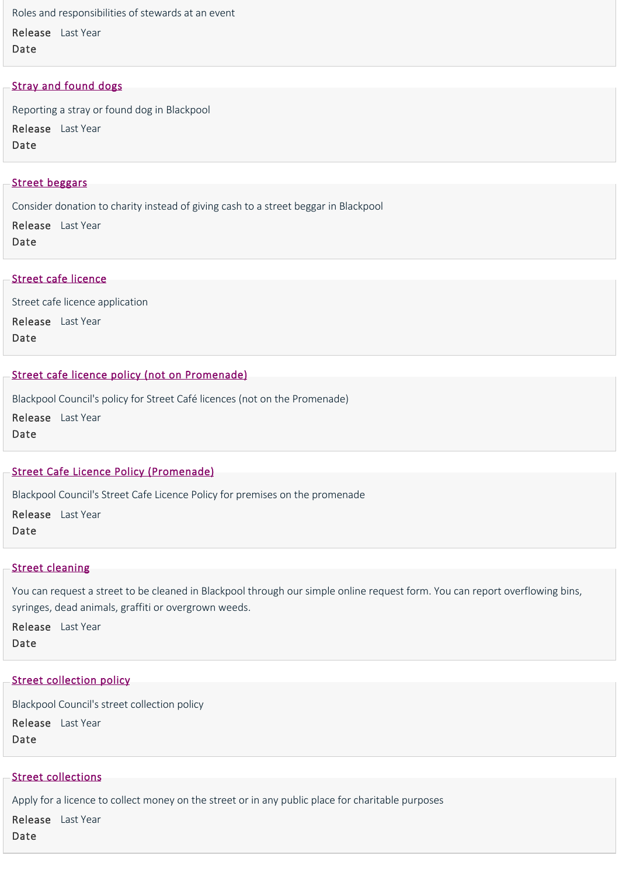Roles and responsibilities of stewards at an event Release Last Year Date

## [Stray and found dogs](https://www.blackpool.gov.uk/Residents/Planning-environment-and-community/Dogs/Stray-and-found-dogs.aspx)

Reporting a stray or found dog in Blackpool Release Last Year Date

#### [Street beggars](https://www.blackpool.gov.uk/Residents/Planning-environment-and-community/Crime-and-safety/Street-beggars.aspx)

Consider donation to charity instead of giving cash to a street beggar in Blackpool

Release Last Year Date

#### [Street cafe licence](https://www.blackpool.gov.uk/Business/Licensing-and-permits/Business-and-trading-licences/Street-cafe-licence.aspx)

Street cafe licence application

Release Last Year

Date

## [Street cafe licence policy \(not on Promenade\)](https://www.blackpool.gov.uk/Business/Licensing-and-permits/Business-and-trading-licences/Street-cafe-licence-policy-not-on-Promenade.aspx)

Blackpool Council's policy for Street Café licences (not on the Promenade) Release Last Year

Date

## [Street Cafe Licence Policy \(Promenade\)](https://www.blackpool.gov.uk/Business/Licensing-and-permits/Business-and-trading-licences/Street-Cafe-Licence-Policy-Promenade.aspx)

Blackpool Council's Street Cafe Licence Policy for premises on the promenade

Release Last Year Date

#### **[Street cleaning](https://www.blackpool.gov.uk/Residents/Planning-environment-and-community/Environmental/Street-cleaning.aspx)**

You can request a street to be cleaned in Blackpool through our simple online request form. You can report overflowing bins, syringes, dead animals, graffiti or overgrown weeds.

Release Last Year Date

## [Street collection policy](https://www.blackpool.gov.uk/Business/Licensing-and-permits/Charitable-collections/Street-collection-policy.aspx)

Blackpool Council's street collection policy Release Last Year Date

## [Street collections](https://www.blackpool.gov.uk/Business/Licensing-and-permits/Charitable-collections/Street-collections.aspx)

Apply for a licence to collect money on the street or in any public place for charitable purposes

Release Last YearDate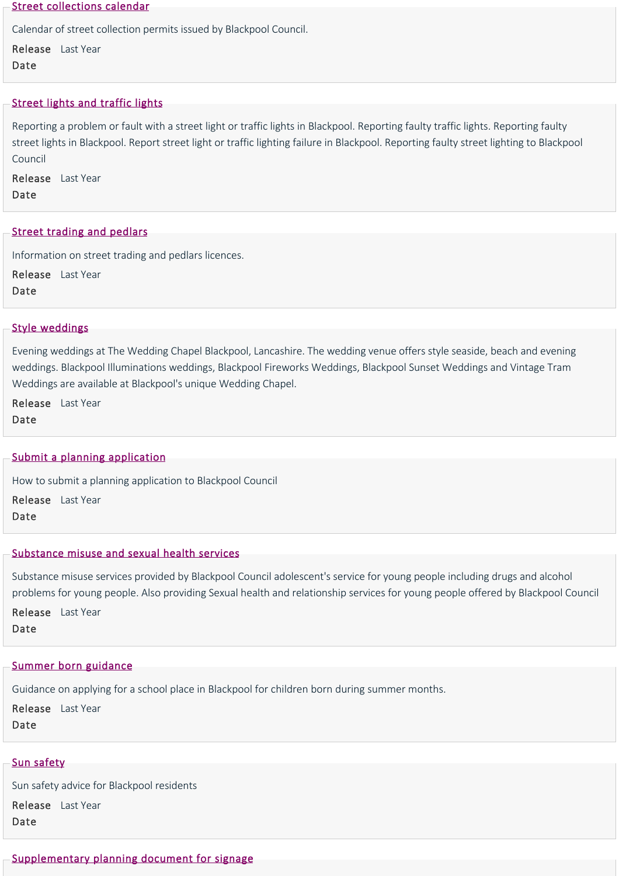#### [Street collections calendar](https://www.blackpool.gov.uk/Business/Licensing-and-permits/Charitable-collections/Street-collections-calendar.aspx)

Calendar of street collection permits issued by Blackpool Council.

Release Last Year Date

## [Street lights and traffic lights](https://www.blackpool.gov.uk/Residents/Parking-roads-and-transport/Street-lights-and-traffic-signals/Street-lights-and-traffic-lights.aspx)

Reporting a problem or fault with a street light or traffic lights in Blackpool. Reporting faulty traffic lights. Reporting faulty street lights in Blackpool. Report street light or traffic lighting failure in Blackpool. Reporting faulty street lighting to Blackpool Council

Release Last Year Date

## [Street trading and pedlars](https://www.blackpool.gov.uk/Business/Licensing-and-permits/Business-and-trading-licences/Street-trading-and-pedlars.aspx)

Information on street trading and pedlars licences.

Release Last Year Date

## [Style weddings](https://www.blackpool.gov.uk/Residents/Life-events/Wedding-venues/The-Wedding-Chapel-Blackpool/Style-weddings.aspx)

Evening weddings at The Wedding Chapel Blackpool, Lancashire. The wedding venue offers style seaside, beach and evening weddings. Blackpool Illuminations weddings, Blackpool Fireworks Weddings, Blackpool Sunset Weddings and Vintage Tram Weddings are available at Blackpool's unique Wedding Chapel.

Release Last Year Date

## [Submit a planning application](https://www.blackpool.gov.uk/Residents/Planning-environment-and-community/Planning/Planning-applications/Submit-a-planning-application.aspx)

How to submit a planning application to Blackpool Council

Release Last Year

Date

## [Substance misuse and sexual health services](https://www.blackpool.gov.uk/Residents/Health-and-social-care/Children-and-families/Early-support/Substance-misuse-and-sexual-health-services.aspx)

Substance misuse services provided by Blackpool Council adolescent's service for young people including drugs and alcohol problems for young people. Also providing Sexual health and relationship services for young people offered by Blackpool Council

Release Last Year Date

## [Summer born guidance](https://www.blackpool.gov.uk/Residents/Education-and-schools/School-admissions/Summer-born-guidance.aspx)

Guidance on applying for a school place in Blackpool for children born during summer months.

Release Last Year Date

## [Sun safety](https://www.blackpool.gov.uk/Residents/Health-and-social-care/Public-health/Sun-safety.aspx)

Sun safety advice for Blackpool residents Release Last Year Date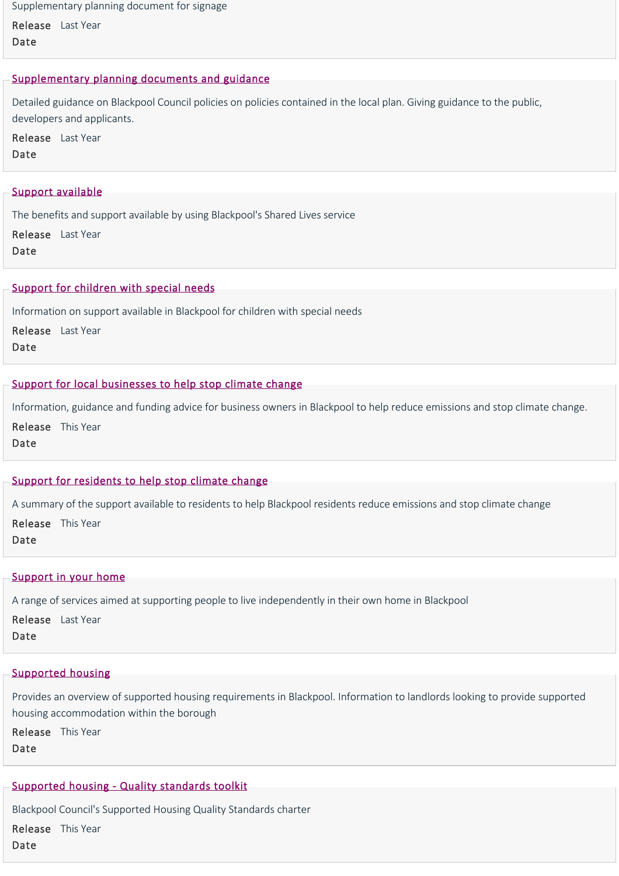Supplementary planning document for signage

Release Last Year Date

### [Supplementary planning documents and guidance](https://www.blackpool.gov.uk/Residents/Planning-environment-and-community/Planning/Planning-policy/Blackpool-local-plan/Supplementary-planning-documents-and-guidance/Supplementary-planning-documents-and-guidance.aspx)

Detailed guidance on Blackpool Council policies on policies contained in the local plan. Giving guidance to the public, developers and applicants.

Release Last Year Date

#### [Support available](https://www.blackpool.gov.uk/Residents/Health-and-social-care/Social-care-for-adults/Services-we-provide/Shared-lives/Support-available.aspx)

The benefits and support available by using Blackpool's Shared Lives service

Release Last Year Date

## [Support for children with special needs](https://www.blackpool.gov.uk/Residents/Education-and-schools/Education-for-all/Support-for-children-with-special-needs.aspx)

Information on support available in Blackpool for children with special needs

Release Last Year Date

#### [Support for local businesses to help stop climate change](https://www.blackpool.gov.uk/Residents/Planning-environment-and-community/Climate-emergency/Support-for-local-businesses-to-help-stop-climate-change.aspx)

Information, guidance and funding advice for business owners in Blackpool to help reduce emissions and stop climate change.

Release This Year Date

## [Support for residents to help stop climate change](https://www.blackpool.gov.uk/Residents/Planning-environment-and-community/Climate-emergency/Support-for-residents-to-help-stop-climate-change.aspx)

A summary of the support available to residents to help Blackpool residents reduce emissions and stop climate change Release This Year Date

# [Support in your home](https://www.blackpool.gov.uk/Residents/Housing/Support-in-your-own-home/Support-in-your-home.aspx)

A range of services aimed at supporting people to live independently in their own home in Blackpool

Release Last Year Date

# [Supported housing](https://www.blackpool.gov.uk/Business/Residential-landlords/Supported-housing/Supported-housing.aspx)

Provides an overview of supported housing requirements in Blackpool. Information to landlords looking to provide supported housing accommodation within the borough

Release This Year Date

# [Supported housing ‐ Quality standards toolkit](https://www.blackpool.gov.uk/Business/Residential-landlords/Supported-housing/Supported-housing-Quality-standards-toolkit.aspx)

Blackpool Council's Supported Housing Quality Standards charter

Release This YearDate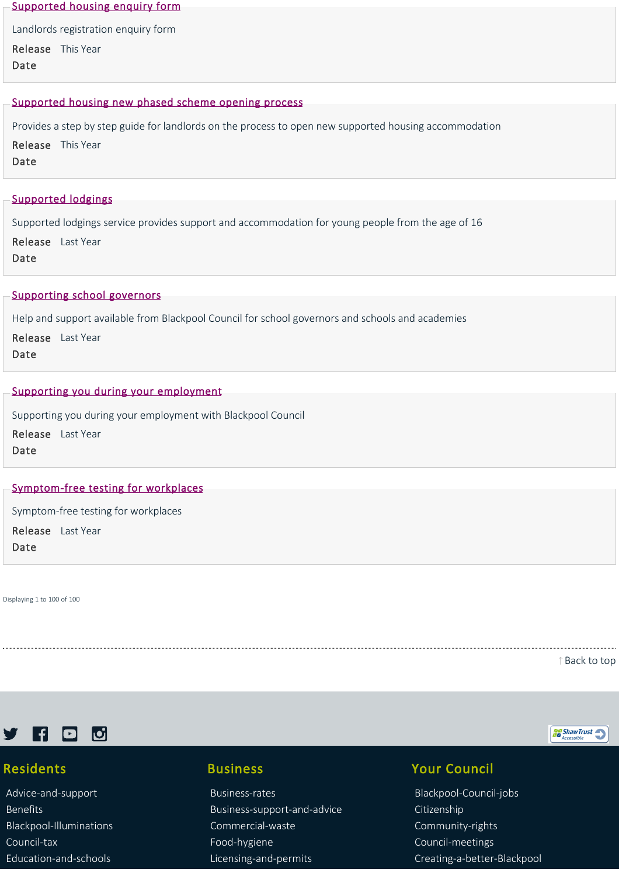#### [Supported housing enquiry form](https://www.blackpool.gov.uk/Business/Residential-landlords/Supported-housing/Supported-housing-enquiry-form.aspx)

Landlords registration enquiry form

Release This Year Date

#### [Supported housing new phased scheme opening process](https://www.blackpool.gov.uk/Business/Residential-landlords/Supported-housing/Supported-housing-new-phased-scheme-opening-process.aspx)

Provides a step by step guide for landlords on the process to open new supported housing accommodation Release This Year Date

## [Supported lodgings](https://www.blackpool.gov.uk/Residents/Health-and-social-care/Social-care-for-adults/Services-we-provide/Supported-lodgings.aspx)

Supported lodgings service provides support and accommodation for young people from the age of 16

Release Last Year Date

#### [Supporting school governors](https://www.blackpool.gov.uk/Residents/Education-and-schools/School-governors/Supporting-school-governors.aspx)

Help and support available from Blackpool Council for school governors and schools and academies

Release Last Year Date

## [Supporting you during your employment](https://www.blackpool.gov.uk/Your-Council/Blackpool-Council-jobs/Supporting-you-during-your-employment.aspx)

Supporting you during your employment with Blackpool Council Release Last Year Date

## Symptom-free testing for workplaces

Symptom‐free testing for workplaces

Release Last YearDate

Displaying 1 to 100 of 100

[Back to top](https://www.blackpool.gov.uk/List-of-Services.aspx?AZListing_AtoZLetter=S#)



# Residents

[Advice‐and‐support](https://www.blackpool.gov.uk/Residents/Advice-and-support/) [Benefits](https://www.blackpool.gov.uk/Residents/Benefits/) [Blackpool‐Illuminations](https://www.blackpool.gov.uk/Residents/Blackpool-Illuminations/) [Council‐tax](https://www.blackpool.gov.uk/Residents/Council-tax/) [Education‐and‐schools](https://www.blackpool.gov.uk/Residents/Education-and-schools/)

# Business

[Business‐rates](https://www.blackpool.gov.uk/Business/Business-rates/) [Business‐support‐and‐advice](https://www.blackpool.gov.uk/Business/Business-support-and-advice/) [Commercial‐waste](https://www.blackpool.gov.uk/Business/Commercial-waste/) [Food‐hygiene](https://www.blackpool.gov.uk/Business/Food-hygiene/) [Licensing‐and‐permits](https://www.blackpool.gov.uk/Business/Licensing-and-permits/)

# Your Council

[Blackpool‐Council‐jobs](https://www.blackpool.gov.uk/Your-Council/Blackpool-Council-jobs/) [Citizenship](https://www.blackpool.gov.uk/Your-Council/Citizenship/) [Community‐rights](https://www.blackpool.gov.uk/Your-Council/Community-rights/) [Council‐meetings](https://www.blackpool.gov.uk/Your-Council/Council-meetings/) [Creating‐a‐better‐Blackpool](https://www.blackpool.gov.uk/Your-Council/Creating-a-better-Blackpool/)